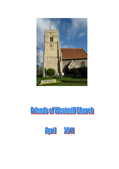

# **Friends of Westmill Church**

Aprill 2011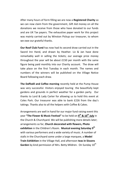After many hours of form filling we are now a **Registered Charity** so we can now claim from the government, Gift Aid money on all the donations we receive from those who have donated to our funds and are UK Tax payers. The exhaustive paper work for this project was mainly carried out by Winston Pickup our treasurer, to whom we owe our grateful thanks.

**Our Roof Club Fund** has now had its second draw carried out in the Sword Inn Hand, and drawn by Heather. Liz & Jan have done remarkably well in selling the tickets; our average prize money throughout the year will be about £150 per month with the same figure being paid monthly into our Charity account. The draw will take place on the first Tuesday in each month. The names and numbers of the winners will be published on the Village Notice Board following each draw.

**The Daffodil and Coffee morning** recently held at the Pump House was very successful. Visitors enjoyed touring the beautifully kept gardens and grounds in perfect weather for a garden party. Our thanks to Lord & Lady Carter for allowing us to hold this event at Coles Park. Our treasurer was able to bank £226 from the day's takings. Thanks also to all the helpers with Coffee & Cakes.

Arrangements are well in hand for our major fund raising event this year **"The Flower & Music Festival"** to be held on **9 th & 10th July** in the Church & Churchyard. We will be publishing more details later; arrangements so far, **Church decorated with flowers, Photo exhibition** in the Children's Room. **Musical evening Saturday 9 th** with various performers and a wide variety of music. A number of stalls in the Churchyard some under a large marquee, a **Model Train Exhibition** in the Village Hall, and afternoon **teas in Sissons**  Garden by kind permission of Mrs. Betty Mildren. On Sundav 10<sup>th</sup>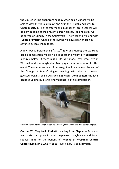the Church will be open from midday when again visitors will be able to view the floral displays and sit in the Church and listen to **Organ music,** during the afternoon a number of local organists will be playing some of their favorite organ pieces, Tea and cakes will be served on Sunday in the Churchyard. The weekend will end with "**Songs of Praise"** when all the Hymns will have been chosen in advance by local inhabitants.

A few weeks before the **9 th& 10th July** and during the weekend itself a competition will be held to guess the weight of **"Buttercup"** pictured below. Buttercup is a life size model cow who lives in Westmill and was weighed at Anstey quarry in preparation for this event. The announcement of her weight will be made at the end of the **"Songs of Praise"** singing evening, with the two nearest guessed weights being awarded £25 each. **John Waters** the local bespoke Cabinet Maker is kindly sponsoring this competition.



Buttercup sniffing the weighbridge at Anstey Quarry whilst she was being weighed.

**On the 26th May Kevin Foskett** is cycling from Dieppe to Paris and back, a six day trip, Kevin would be pleased if anybody would like to sponsor him for the benefit of **Friends of Westmill Church. Contact Kevin on 01763 448095** (Kevin now lives in Royston)